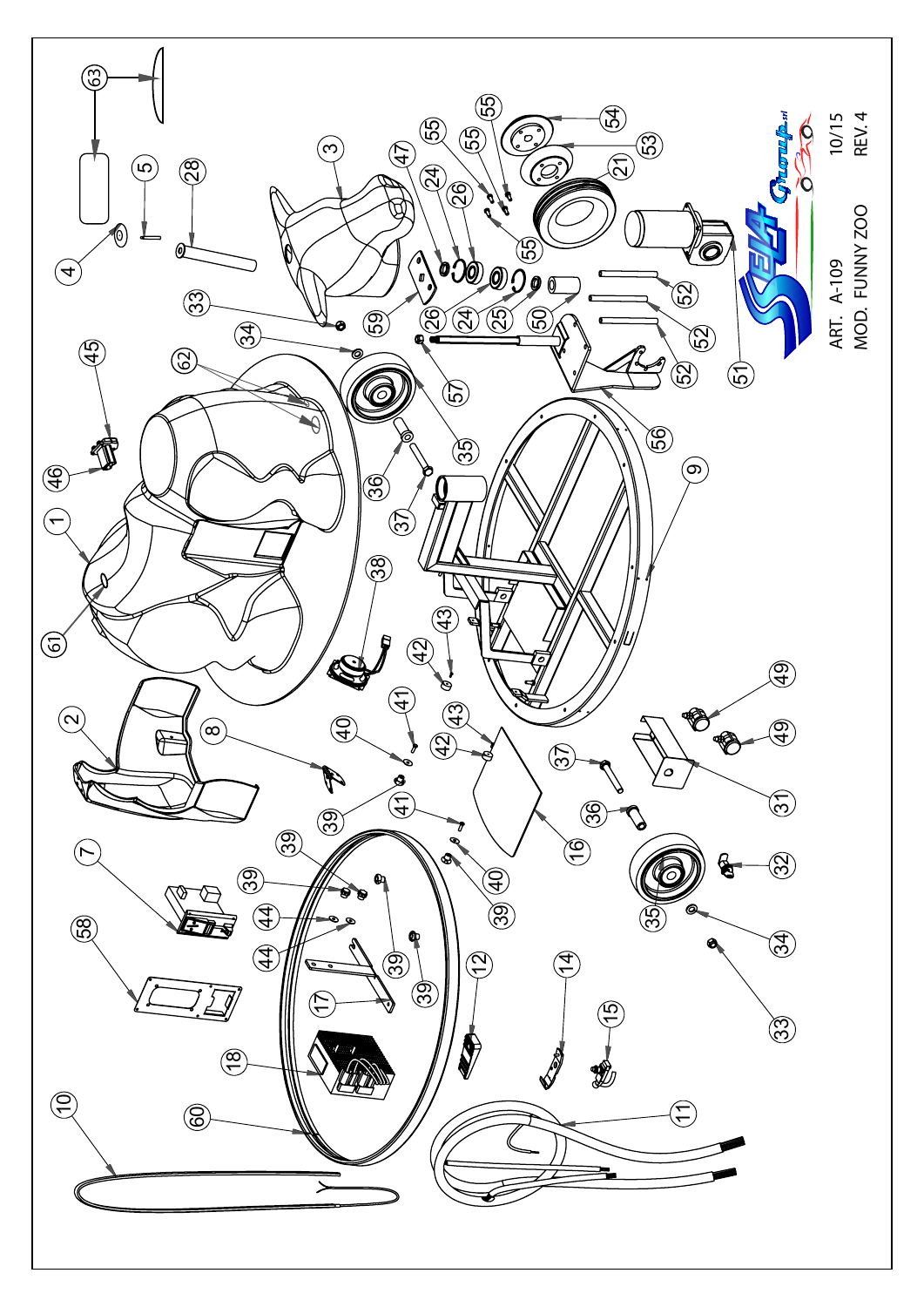